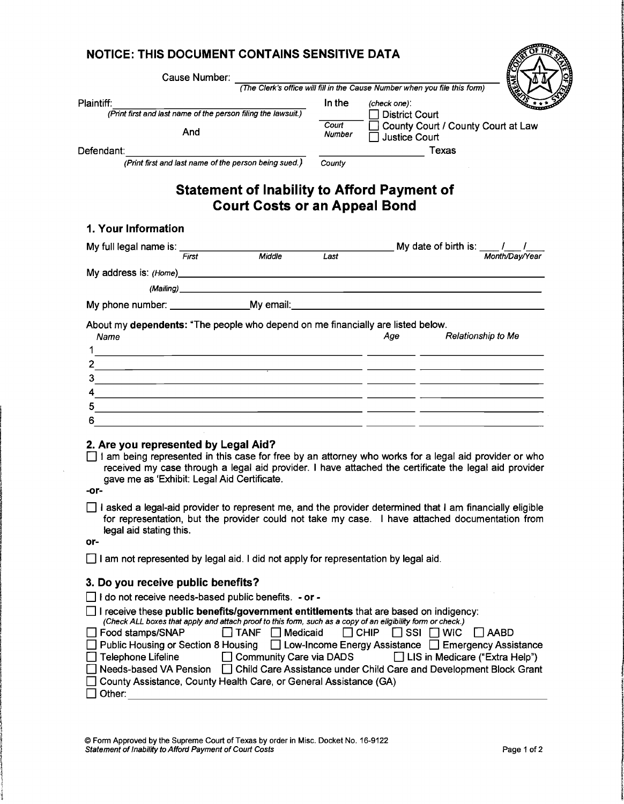| Cause Number:                                                                                                                                                                                                                                                                                                                                                                                                                                                                                                                                                    |                                                           |        |                                                             |                                                                                                                                                                   |  |
|------------------------------------------------------------------------------------------------------------------------------------------------------------------------------------------------------------------------------------------------------------------------------------------------------------------------------------------------------------------------------------------------------------------------------------------------------------------------------------------------------------------------------------------------------------------|-----------------------------------------------------------|--------|-------------------------------------------------------------|-------------------------------------------------------------------------------------------------------------------------------------------------------------------|--|
|                                                                                                                                                                                                                                                                                                                                                                                                                                                                                                                                                                  |                                                           |        |                                                             | (The Clerk's office will fill in the Cause Number when you file this form)                                                                                        |  |
| Plaintiff:                                                                                                                                                                                                                                                                                                                                                                                                                                                                                                                                                       |                                                           | In the | (check one):                                                |                                                                                                                                                                   |  |
| (Print first and last name of the person filing the lawsuit.)                                                                                                                                                                                                                                                                                                                                                                                                                                                                                                    |                                                           | Court  | <b>District Court</b>                                       | County Court / County Court at Law                                                                                                                                |  |
| And                                                                                                                                                                                                                                                                                                                                                                                                                                                                                                                                                              |                                                           | Number | <b>Justice Court</b>                                        |                                                                                                                                                                   |  |
| Defendant:                                                                                                                                                                                                                                                                                                                                                                                                                                                                                                                                                       |                                                           |        |                                                             | Texas                                                                                                                                                             |  |
| (Print first and last name of the person being sued.)                                                                                                                                                                                                                                                                                                                                                                                                                                                                                                            |                                                           | County |                                                             |                                                                                                                                                                   |  |
| <b>Statement of Inability to Afford Payment of</b>                                                                                                                                                                                                                                                                                                                                                                                                                                                                                                               | <b>Court Costs or an Appeal Bond</b>                      |        |                                                             |                                                                                                                                                                   |  |
| 1. Your Information                                                                                                                                                                                                                                                                                                                                                                                                                                                                                                                                              |                                                           |        |                                                             |                                                                                                                                                                   |  |
| My full legal name is: First Middle                                                                                                                                                                                                                                                                                                                                                                                                                                                                                                                              |                                                           |        |                                                             | My date of birth is: $\frac{1}{\frac{M \text{ on } n}{M \text{ on } n}}$                                                                                          |  |
|                                                                                                                                                                                                                                                                                                                                                                                                                                                                                                                                                                  |                                                           | Last   |                                                             |                                                                                                                                                                   |  |
|                                                                                                                                                                                                                                                                                                                                                                                                                                                                                                                                                                  |                                                           |        |                                                             |                                                                                                                                                                   |  |
| (Mailing) <b>Example 2</b> and 2 and 2 and 2 and 2 and 2 and 2 and 2 and 2 and 2 and 2 and 2 and 2 and 2 and 2 and 2 and 2 and 2 and 2 and 2 and 2 and 2 and 2 and 2 and 2 and 2 and 2 and 2 and 2 and 2 and 2 and 2 and 2 and 2 an                                                                                                                                                                                                                                                                                                                              |                                                           |        |                                                             |                                                                                                                                                                   |  |
| My phone number: My email:                                                                                                                                                                                                                                                                                                                                                                                                                                                                                                                                       |                                                           |        |                                                             |                                                                                                                                                                   |  |
| About my dependents: "The people who depend on me financially are listed below.<br>Name<br>1<br><u> 1990 - Jan James James Barnett, amerikan bizko bat da bat da bat da bat da bat da bat da bat da bat da bat d</u>                                                                                                                                                                                                                                                                                                                                             |                                                           |        | Age                                                         | Relationship to Me                                                                                                                                                |  |
| 2.<br><u> 1989 - Andrea Aonaichte, ann an t-Èireann an t-Èireann an t-Èireann an t-Èireann an t-Èireann an t-Èireann an </u>                                                                                                                                                                                                                                                                                                                                                                                                                                     |                                                           |        |                                                             |                                                                                                                                                                   |  |
| 3.                                                                                                                                                                                                                                                                                                                                                                                                                                                                                                                                                               |                                                           |        |                                                             |                                                                                                                                                                   |  |
| 4<br><u> 1989 - Johann Stein, mars an deutscher Stein († 1989)</u>                                                                                                                                                                                                                                                                                                                                                                                                                                                                                               |                                                           |        |                                                             |                                                                                                                                                                   |  |
| 5<br>6                                                                                                                                                                                                                                                                                                                                                                                                                                                                                                                                                           |                                                           |        |                                                             |                                                                                                                                                                   |  |
| <u> 1980 - Jan Stein Berlin, Amerikaansk politiker († 1908)</u>                                                                                                                                                                                                                                                                                                                                                                                                                                                                                                  |                                                           |        |                                                             |                                                                                                                                                                   |  |
| 2. Are you represented by Legal Aid?<br>□ I am being represented in this case for free by an attorney who works for a legal aid provider or who<br>received my case through a legal aid provider. I have attached the certificate the legal aid provider<br>gave me as 'Exhibit: Legal Aid Certificate.<br>-or-<br>I asked a legal-aid provider to represent me, and the provider determined that I am financially eligible<br>for representation, but the provider could not take my case. I have attached documentation from<br>legal aid stating this.<br>or- |                                                           |        |                                                             |                                                                                                                                                                   |  |
| $\Box$ I am not represented by legal aid. I did not apply for representation by legal aid.                                                                                                                                                                                                                                                                                                                                                                                                                                                                       |                                                           |        |                                                             |                                                                                                                                                                   |  |
| 3. Do you receive public benefits?                                                                                                                                                                                                                                                                                                                                                                                                                                                                                                                               |                                                           |        |                                                             |                                                                                                                                                                   |  |
| I do not receive needs-based public benefits. - or -                                                                                                                                                                                                                                                                                                                                                                                                                                                                                                             |                                                           |        |                                                             |                                                                                                                                                                   |  |
| I receive these public benefits/government entitlements that are based on indigency:<br>(Check ALL boxes that apply and attach proof to this form, such as a copy of an eligibility form or check.)<br>Food stamps/SNAP<br>Public Housing or Section 8 Housing<br><b>Telephone Lifeline</b><br>Needs-based VA Pension                                                                                                                                                                                                                                            | <b>TANF</b><br>Medicaid<br><b>Community Care via DADS</b> |        | $\Box$ Chip<br>∐ SSI<br>$\Box$ Low-Income Energy Assistance | <b>WIC</b><br>l I AABD<br>$\Box$ Emergency Assistance<br>□ LIS in Medicare ("Extra Help")<br>□ Child Care Assistance under Child Care and Development Block Grant |  |

 $\sim$